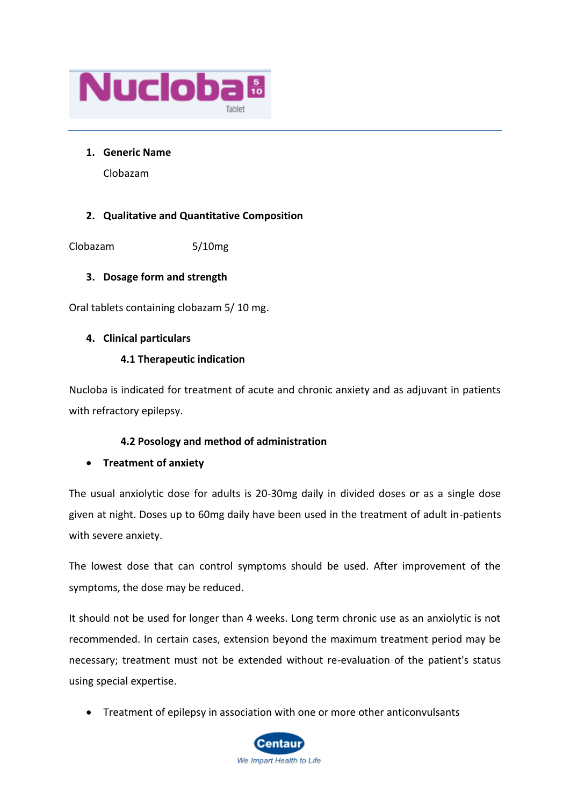

### **1. Generic Name**

Clobazam

# **2. Qualitative and Quantitative Composition**

Clobazam 5/10mg

# **3. Dosage form and strength**

Oral tablets containing clobazam 5/ 10 mg.

## **4. Clinical particulars**

## **4.1 Therapeutic indication**

Nucloba is indicated for treatment of acute and chronic anxiety and as adjuvant in patients with refractory epilepsy.

# **4.2 Posology and method of administration**

# • **Treatment of anxiety**

The usual anxiolytic dose for adults is 20-30mg daily in divided doses or as a single dose given at night. Doses up to 60mg daily have been used in the treatment of adult in-patients with severe anxiety.

The lowest dose that can control symptoms should be used. After improvement of the symptoms, the dose may be reduced.

It should not be used for longer than 4 weeks. Long term chronic use as an anxiolytic is not recommended. In certain cases, extension beyond the maximum treatment period may be necessary; treatment must not be extended without re-evaluation of the patient's status using special expertise.

• Treatment of epilepsy in association with one or more other anticonvulsants

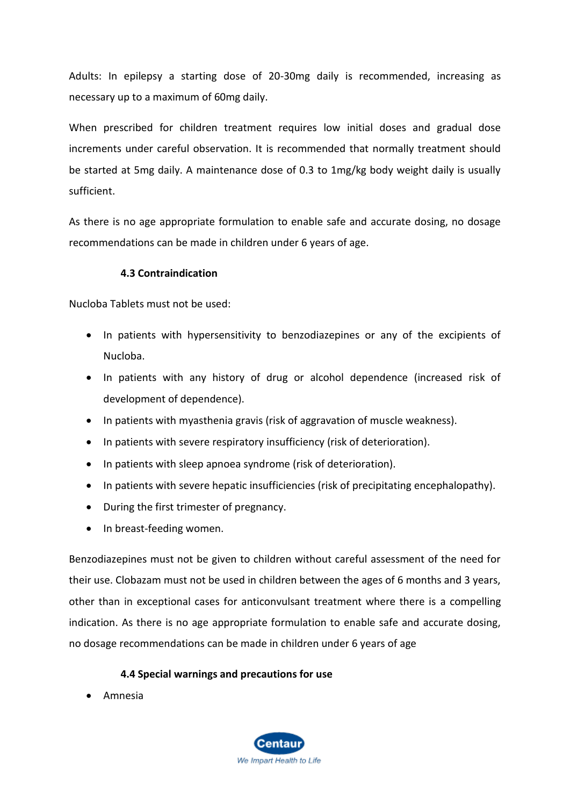Adults: In epilepsy a starting dose of 20-30mg daily is recommended, increasing as necessary up to a maximum of 60mg daily.

When prescribed for children treatment requires low initial doses and gradual dose increments under careful observation. It is recommended that normally treatment should be started at 5mg daily. A maintenance dose of 0.3 to 1mg/kg body weight daily is usually sufficient.

As there is no age appropriate formulation to enable safe and accurate dosing, no dosage recommendations can be made in children under 6 years of age.

## **4.3 Contraindication**

Nucloba Tablets must not be used:

- In patients with hypersensitivity to benzodiazepines or any of the excipients of Nucloba.
- In patients with any history of drug or alcohol dependence (increased risk of development of dependence).
- In patients with myasthenia gravis (risk of aggravation of muscle weakness).
- In patients with severe respiratory insufficiency (risk of deterioration).
- In patients with sleep apnoea syndrome (risk of deterioration).
- In patients with severe hepatic insufficiencies (risk of precipitating encephalopathy).
- During the first trimester of pregnancy.
- In breast-feeding women.

Benzodiazepines must not be given to children without careful assessment of the need for their use. Clobazam must not be used in children between the ages of 6 months and 3 years, other than in exceptional cases for anticonvulsant treatment where there is a compelling indication. As there is no age appropriate formulation to enable safe and accurate dosing, no dosage recommendations can be made in children under 6 years of age

### **4.4 Special warnings and precautions for use**

• Amnesia

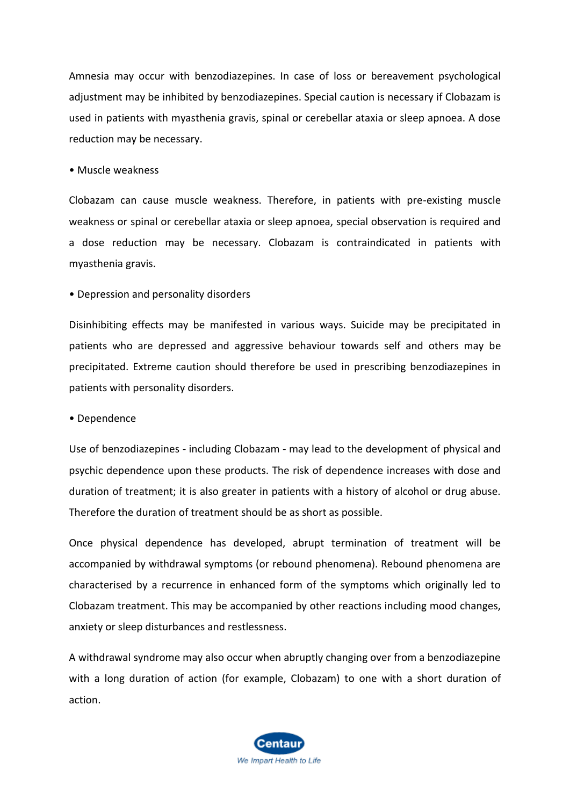Amnesia may occur with benzodiazepines. In case of loss or bereavement psychological adjustment may be inhibited by benzodiazepines. Special caution is necessary if Clobazam is used in patients with myasthenia gravis, spinal or cerebellar ataxia or sleep apnoea. A dose reduction may be necessary.

#### • Muscle weakness

Clobazam can cause muscle weakness. Therefore, in patients with pre-existing muscle weakness or spinal or cerebellar ataxia or sleep apnoea, special observation is required and a dose reduction may be necessary. Clobazam is contraindicated in patients with myasthenia gravis.

### • Depression and personality disorders

Disinhibiting effects may be manifested in various ways. Suicide may be precipitated in patients who are depressed and aggressive behaviour towards self and others may be precipitated. Extreme caution should therefore be used in prescribing benzodiazepines in patients with personality disorders.

#### • Dependence

Use of benzodiazepines - including Clobazam - may lead to the development of physical and psychic dependence upon these products. The risk of dependence increases with dose and duration of treatment; it is also greater in patients with a history of alcohol or drug abuse. Therefore the duration of treatment should be as short as possible.

Once physical dependence has developed, abrupt termination of treatment will be accompanied by withdrawal symptoms (or rebound phenomena). Rebound phenomena are characterised by a recurrence in enhanced form of the symptoms which originally led to Clobazam treatment. This may be accompanied by other reactions including mood changes, anxiety or sleep disturbances and restlessness.

A withdrawal syndrome may also occur when abruptly changing over from a benzodiazepine with a long duration of action (for example, Clobazam) to one with a short duration of action.

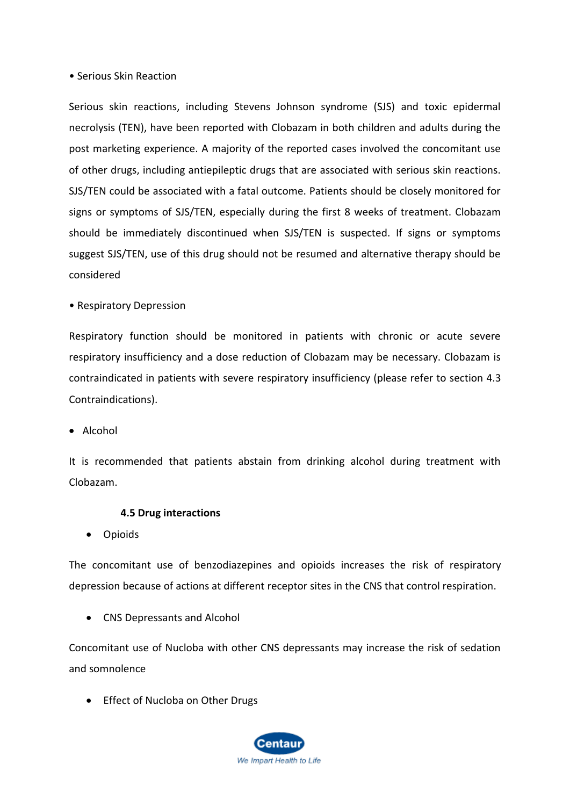### • Serious Skin Reaction

Serious skin reactions, including Stevens Johnson syndrome (SJS) and toxic epidermal necrolysis (TEN), have been reported with Clobazam in both children and adults during the post marketing experience. A majority of the reported cases involved the concomitant use of other drugs, including antiepileptic drugs that are associated with serious skin reactions. SJS/TEN could be associated with a fatal outcome. Patients should be closely monitored for signs or symptoms of SJS/TEN, especially during the first 8 weeks of treatment. Clobazam should be immediately discontinued when SJS/TEN is suspected. If signs or symptoms suggest SJS/TEN, use of this drug should not be resumed and alternative therapy should be considered

• Respiratory Depression

Respiratory function should be monitored in patients with chronic or acute severe respiratory insufficiency and a dose reduction of Clobazam may be necessary. Clobazam is contraindicated in patients with severe respiratory insufficiency (please refer to section 4.3 Contraindications).

• Alcohol

It is recommended that patients abstain from drinking alcohol during treatment with Clobazam.

#### **4.5 Drug interactions**

• Opioids

The concomitant use of benzodiazepines and opioids increases the risk of respiratory depression because of actions at different receptor sites in the CNS that control respiration.

• CNS Depressants and Alcohol

Concomitant use of Nucloba with other CNS depressants may increase the risk of sedation and somnolence

• Effect of Nucloba on Other Drugs

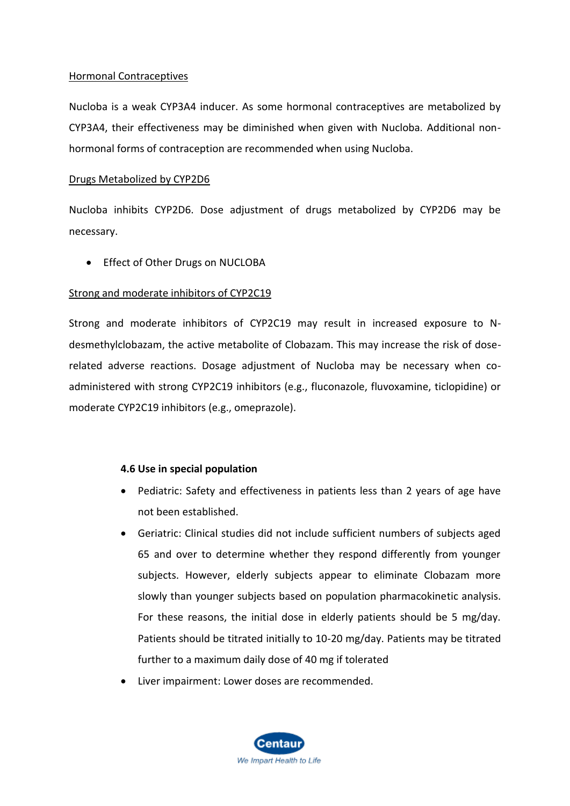### Hormonal Contraceptives

Nucloba is a weak CYP3A4 inducer. As some hormonal contraceptives are metabolized by CYP3A4, their effectiveness may be diminished when given with Nucloba. Additional nonhormonal forms of contraception are recommended when using Nucloba.

#### Drugs Metabolized by CYP2D6

Nucloba inhibits CYP2D6. Dose adjustment of drugs metabolized by CYP2D6 may be necessary.

• Effect of Other Drugs on NUCLOBA

### Strong and moderate inhibitors of CYP2C19

Strong and moderate inhibitors of CYP2C19 may result in increased exposure to Ndesmethylclobazam, the active metabolite of Clobazam. This may increase the risk of doserelated adverse reactions. Dosage adjustment of Nucloba may be necessary when coadministered with strong CYP2C19 inhibitors (e.g., fluconazole, fluvoxamine, ticlopidine) or moderate CYP2C19 inhibitors (e.g., omeprazole).

### **4.6 Use in special population**

- Pediatric: Safety and effectiveness in patients less than 2 years of age have not been established.
- Geriatric: Clinical studies did not include sufficient numbers of subjects aged 65 and over to determine whether they respond differently from younger subjects. However, elderly subjects appear to eliminate Clobazam more slowly than younger subjects based on population pharmacokinetic analysis. For these reasons, the initial dose in elderly patients should be 5 mg/day. Patients should be titrated initially to 10-20 mg/day. Patients may be titrated further to a maximum daily dose of 40 mg if tolerated
- Liver impairment: Lower doses are recommended.

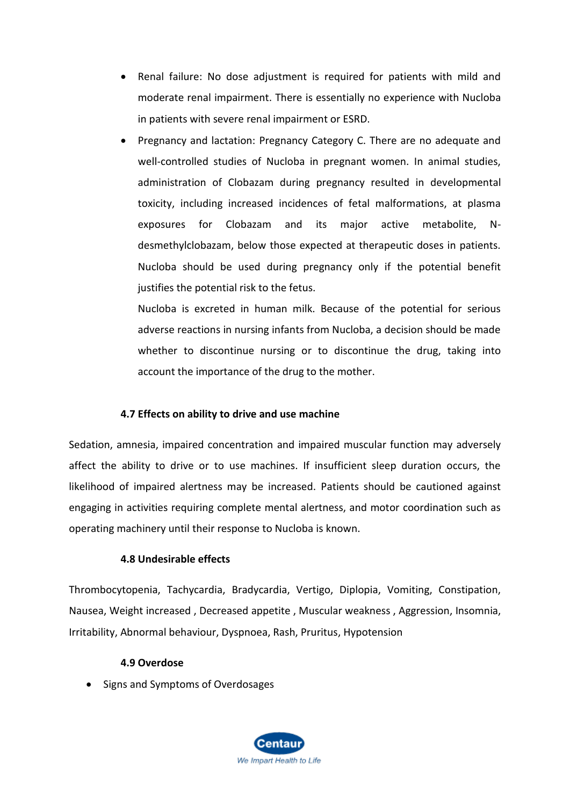- Renal failure: No dose adjustment is required for patients with mild and moderate renal impairment. There is essentially no experience with Nucloba in patients with severe renal impairment or ESRD.
- Pregnancy and lactation: Pregnancy Category C. There are no adequate and well-controlled studies of Nucloba in pregnant women. In animal studies, administration of Clobazam during pregnancy resulted in developmental toxicity, including increased incidences of fetal malformations, at plasma exposures for Clobazam and its major active metabolite, Ndesmethylclobazam, below those expected at therapeutic doses in patients. Nucloba should be used during pregnancy only if the potential benefit justifies the potential risk to the fetus.

Nucloba is excreted in human milk. Because of the potential for serious adverse reactions in nursing infants from Nucloba, a decision should be made whether to discontinue nursing or to discontinue the drug, taking into account the importance of the drug to the mother.

# **4.7 Effects on ability to drive and use machine**

Sedation, amnesia, impaired concentration and impaired muscular function may adversely affect the ability to drive or to use machines. If insufficient sleep duration occurs, the likelihood of impaired alertness may be increased. Patients should be cautioned against engaging in activities requiring complete mental alertness, and motor coordination such as operating machinery until their response to Nucloba is known.

### **4.8 Undesirable effects**

Thrombocytopenia, Tachycardia, Bradycardia, Vertigo, Diplopia, Vomiting, Constipation, Nausea, Weight increased , Decreased appetite , Muscular weakness , Aggression, Insomnia, Irritability, Abnormal behaviour, Dyspnoea, Rash, Pruritus, Hypotension

### **4.9 Overdose**

• Signs and Symptoms of Overdosages

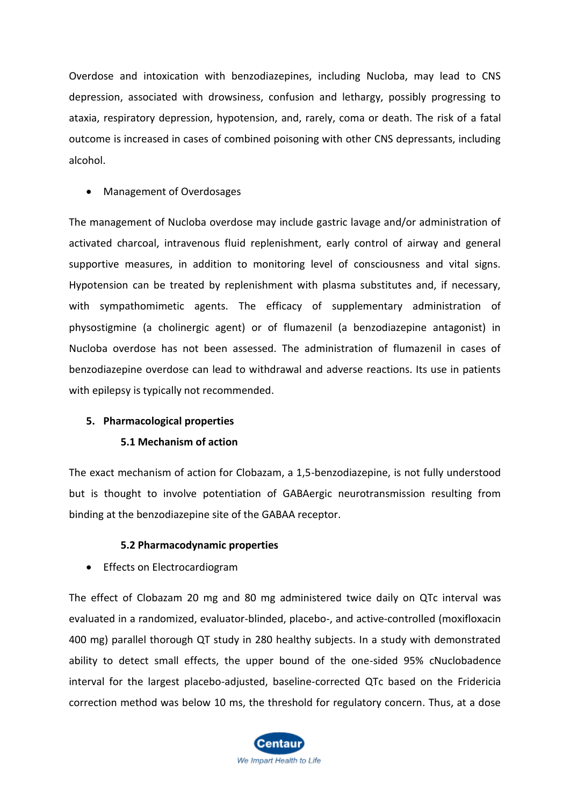Overdose and intoxication with benzodiazepines, including Nucloba, may lead to CNS depression, associated with drowsiness, confusion and lethargy, possibly progressing to ataxia, respiratory depression, hypotension, and, rarely, coma or death. The risk of a fatal outcome is increased in cases of combined poisoning with other CNS depressants, including alcohol.

#### • Management of Overdosages

The management of Nucloba overdose may include gastric lavage and/or administration of activated charcoal, intravenous fluid replenishment, early control of airway and general supportive measures, in addition to monitoring level of consciousness and vital signs. Hypotension can be treated by replenishment with plasma substitutes and, if necessary, with sympathomimetic agents. The efficacy of supplementary administration of physostigmine (a cholinergic agent) or of flumazenil (a benzodiazepine antagonist) in Nucloba overdose has not been assessed. The administration of flumazenil in cases of benzodiazepine overdose can lead to withdrawal and adverse reactions. Its use in patients with epilepsy is typically not recommended.

### **5. Pharmacological properties**

### **5.1 Mechanism of action**

The exact mechanism of action for Clobazam, a 1,5-benzodiazepine, is not fully understood but is thought to involve potentiation of GABAergic neurotransmission resulting from binding at the benzodiazepine site of the GABAA receptor.

### **5.2 Pharmacodynamic properties**

• Effects on Electrocardiogram

The effect of Clobazam 20 mg and 80 mg administered twice daily on QTc interval was evaluated in a randomized, evaluator-blinded, placebo-, and active-controlled (moxifloxacin 400 mg) parallel thorough QT study in 280 healthy subjects. In a study with demonstrated ability to detect small effects, the upper bound of the one-sided 95% cNuclobadence interval for the largest placebo-adjusted, baseline-corrected QTc based on the Fridericia correction method was below 10 ms, the threshold for regulatory concern. Thus, at a dose

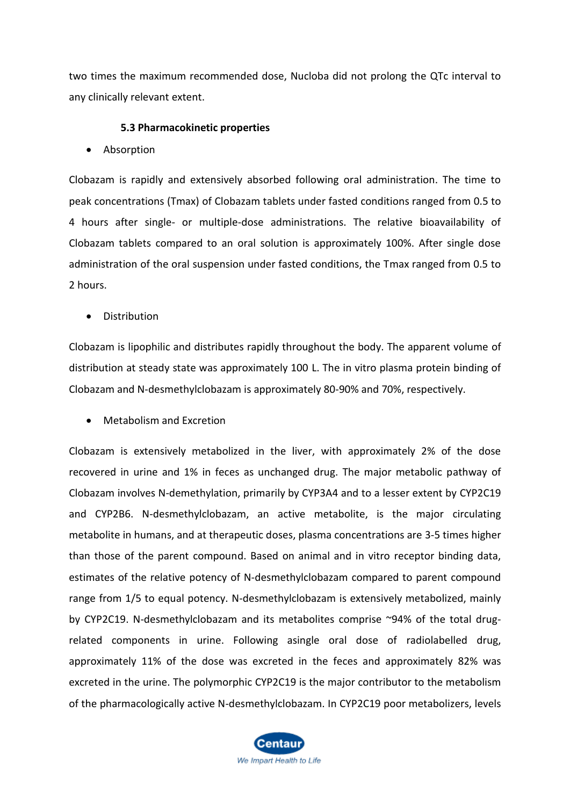two times the maximum recommended dose, Nucloba did not prolong the QTc interval to any clinically relevant extent.

#### **5.3 Pharmacokinetic properties**

• Absorption

Clobazam is rapidly and extensively absorbed following oral administration. The time to peak concentrations (Tmax) of Clobazam tablets under fasted conditions ranged from 0.5 to 4 hours after single- or multiple-dose administrations. The relative bioavailability of Clobazam tablets compared to an oral solution is approximately 100%. After single dose administration of the oral suspension under fasted conditions, the Tmax ranged from 0.5 to 2 hours.

• Distribution

Clobazam is lipophilic and distributes rapidly throughout the body. The apparent volume of distribution at steady state was approximately 100 L. The in vitro plasma protein binding of Clobazam and N-desmethylclobazam is approximately 80-90% and 70%, respectively.

• Metabolism and Excretion

Clobazam is extensively metabolized in the liver, with approximately 2% of the dose recovered in urine and 1% in feces as unchanged drug. The major metabolic pathway of Clobazam involves N-demethylation, primarily by CYP3A4 and to a lesser extent by CYP2C19 and CYP2B6. N-desmethylclobazam, an active metabolite, is the major circulating metabolite in humans, and at therapeutic doses, plasma concentrations are 3-5 times higher than those of the parent compound. Based on animal and in vitro receptor binding data, estimates of the relative potency of N-desmethylclobazam compared to parent compound range from 1/5 to equal potency. N-desmethylclobazam is extensively metabolized, mainly by CYP2C19. N-desmethylclobazam and its metabolites comprise ~94% of the total drugrelated components in urine. Following asingle oral dose of radiolabelled drug, approximately 11% of the dose was excreted in the feces and approximately 82% was excreted in the urine. The polymorphic CYP2C19 is the major contributor to the metabolism of the pharmacologically active N-desmethylclobazam. In CYP2C19 poor metabolizers, levels

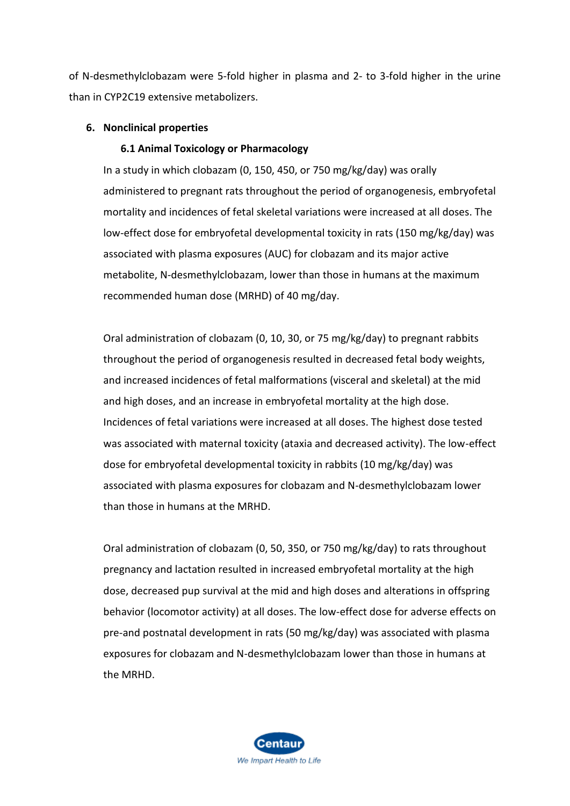of N-desmethylclobazam were 5-fold higher in plasma and 2- to 3-fold higher in the urine than in CYP2C19 extensive metabolizers.

### **6. Nonclinical properties**

### **6.1 Animal Toxicology or Pharmacology**

In a study in which clobazam (0, 150, 450, or 750 mg/kg/day) was orally administered to pregnant rats throughout the period of organogenesis, embryofetal mortality and incidences of fetal skeletal variations were increased at all doses. The low-effect dose for embryofetal developmental toxicity in rats (150 mg/kg/day) was associated with plasma exposures (AUC) for clobazam and its major active metabolite, N-desmethylclobazam, lower than those in humans at the maximum recommended human dose (MRHD) of 40 mg/day.

Oral administration of clobazam (0, 10, 30, or 75 mg/kg/day) to pregnant rabbits throughout the period of organogenesis resulted in decreased fetal body weights, and increased incidences of fetal malformations (visceral and skeletal) at the mid and high doses, and an increase in embryofetal mortality at the high dose. Incidences of fetal variations were increased at all doses. The highest dose tested was associated with maternal toxicity (ataxia and decreased activity). The low-effect dose for embryofetal developmental toxicity in rabbits (10 mg/kg/day) was associated with plasma exposures for clobazam and N-desmethylclobazam lower than those in humans at the MRHD.

Oral administration of clobazam (0, 50, 350, or 750 mg/kg/day) to rats throughout pregnancy and lactation resulted in increased embryofetal mortality at the high dose, decreased pup survival at the mid and high doses and alterations in offspring behavior (locomotor activity) at all doses. The low-effect dose for adverse effects on pre-and postnatal development in rats (50 mg/kg/day) was associated with plasma exposures for clobazam and N-desmethylclobazam lower than those in humans at the MRHD.

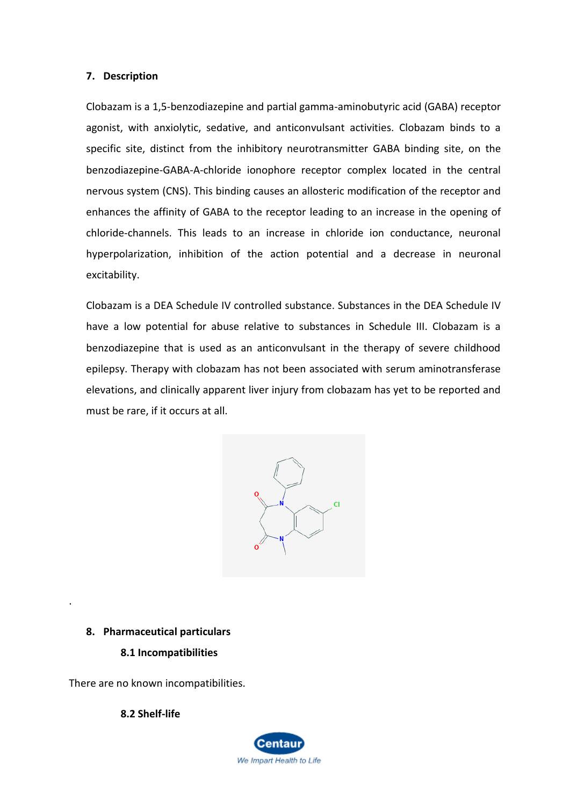#### **7. Description**

Clobazam is a 1,5-benzodiazepine and partial gamma-aminobutyric acid (GABA) receptor agonist, with anxiolytic, sedative, and anticonvulsant activities. Clobazam binds to a specific site, distinct from the inhibitory neurotransmitter GABA binding site, on the benzodiazepine-GABA-A-chloride ionophore receptor complex located in the central nervous system (CNS). This binding causes an allosteric modification of the receptor and enhances the affinity of GABA to the receptor leading to an increase in the opening of chloride-channels. This leads to an increase in chloride ion conductance, neuronal hyperpolarization, inhibition of the action potential and a decrease in neuronal excitability.

Clobazam is a DEA Schedule IV controlled substance. Substances in the DEA Schedule IV have a low potential for abuse relative to substances in Schedule III. Clobazam is a benzodiazepine that is used as an anticonvulsant in the therapy of severe childhood epilepsy. Therapy with clobazam has not been associated with serum aminotransferase elevations, and clinically apparent liver injury from clobazam has yet to be reported and must be rare, if it occurs at all.



#### **8. Pharmaceutical particulars**

.

### **8.1 Incompatibilities**

There are no known incompatibilities.

**8.2 Shelf-life**

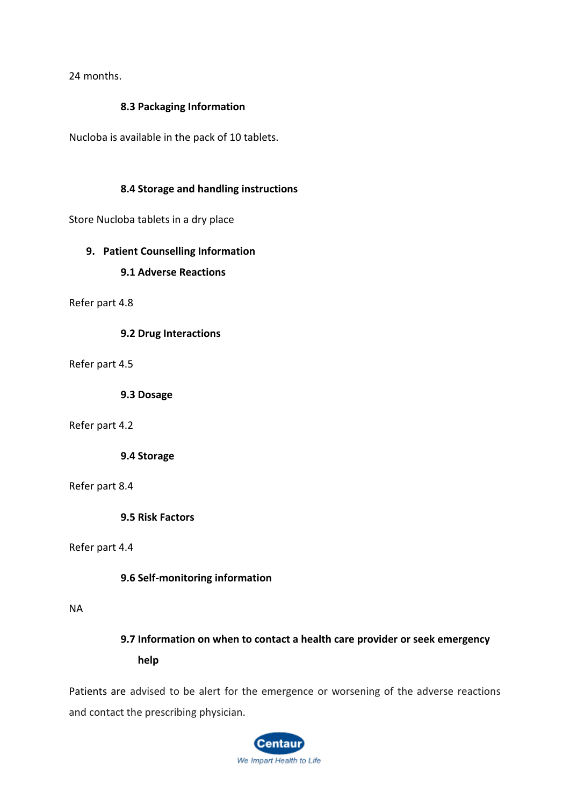24 months.

# **8.3 Packaging Information**

Nucloba is available in the pack of 10 tablets.

# **8.4 Storage and handling instructions**

Store Nucloba tablets in a dry place

## **9. Patient Counselling Information**

## **9.1 Adverse Reactions**

Refer part 4.8

**9.2 Drug Interactions**

Refer part 4.5

**9.3 Dosage**

Refer part 4.2

**9.4 Storage**

### Refer part 8.4

**9.5 Risk Factors**

Refer part 4.4

**9.6 Self-monitoring information**

#### NA

**9.7 Information on when to contact a health care provider or seek emergency help**

Patients are advised to be alert for the emergence or worsening of the adverse reactions and contact the prescribing physician.